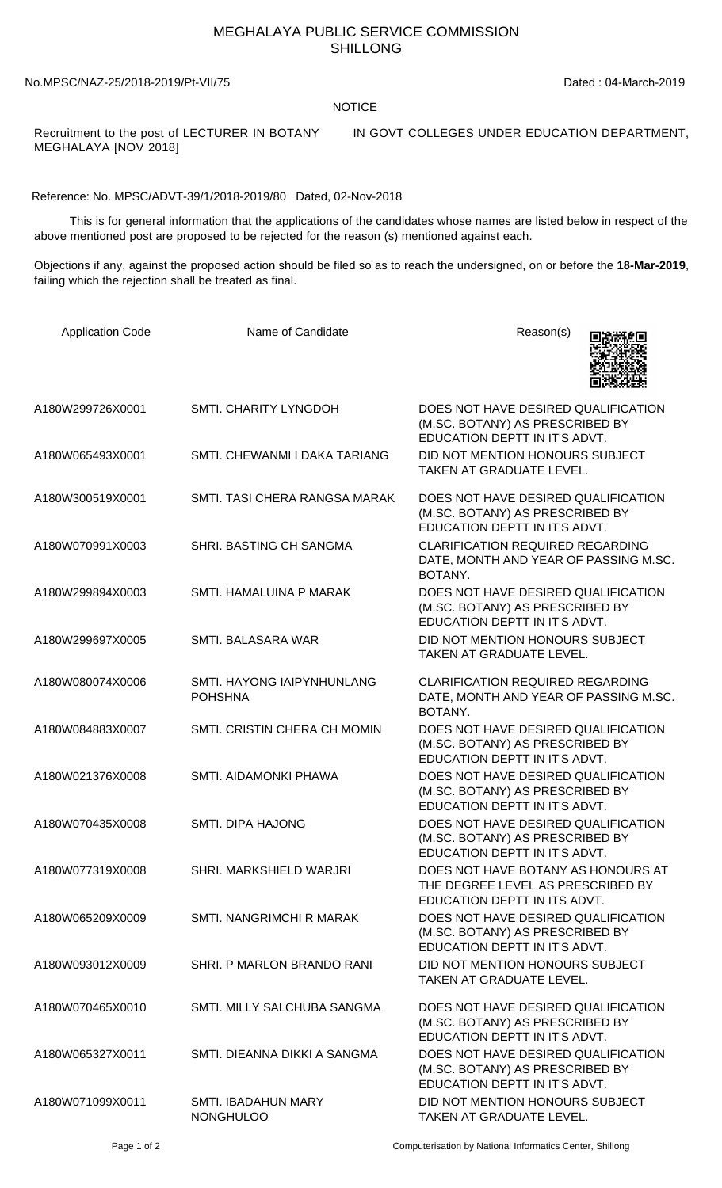## MEGHALAYA PUBLIC SERVICE COMMISSION SHILLONG

No.MPSC/NAZ-25/2018-2019/Pt-VII/75 Dated : 04-March-2019

## **NOTICE**

MEGHALAYA [NOV 2018]

Recruitment to the post of LECTURER IN BOTANY IN GOVT COLLEGES UNDER EDUCATION DEPARTMENT,

Reference: No. MPSC/ADVT-39/1/2018-2019/80 Dated, 02-Nov-2018

 This is for general information that the applications of the candidates whose names are listed below in respect of the above mentioned post are proposed to be rejected for the reason (s) mentioned against each.

Objections if any, against the proposed action should be filed so as to reach the undersigned, on or before the **18-Mar-2019**, failing which the rejection shall be treated as final.

| <b>Application Code</b> | Name of Candidate                                   | Reason(s)                                                                                               |
|-------------------------|-----------------------------------------------------|---------------------------------------------------------------------------------------------------------|
| A180W299726X0001        | SMTI. CHARITY LYNGDOH                               | DOES NOT HAVE DESIRED QUALIFICATION<br>(M.SC. BOTANY) AS PRESCRIBED BY<br>EDUCATION DEPTT IN IT'S ADVT. |
| A180W065493X0001        | SMTI. CHEWANMI I DAKA TARIANG                       | DID NOT MENTION HONOURS SUBJECT<br><b>TAKEN AT GRADUATE LEVEL.</b>                                      |
| A180W300519X0001        | SMTI. TASI CHERA RANGSA MARAK                       | DOES NOT HAVE DESIRED QUALIFICATION<br>(M.SC. BOTANY) AS PRESCRIBED BY<br>EDUCATION DEPTT IN IT'S ADVT. |
| A180W070991X0003        | SHRI. BASTING CH SANGMA                             | <b>CLARIFICATION REQUIRED REGARDING</b><br>DATE, MONTH AND YEAR OF PASSING M.SC.<br>BOTANY.             |
| A180W299894X0003        | SMTI. HAMALUINA P MARAK                             | DOES NOT HAVE DESIRED QUALIFICATION<br>(M.SC. BOTANY) AS PRESCRIBED BY<br>EDUCATION DEPTT IN IT'S ADVT. |
| A180W299697X0005        | SMTI. BALASARA WAR                                  | DID NOT MENTION HONOURS SUBJECT<br>TAKEN AT GRADUATE LEVEL.                                             |
| A180W080074X0006        | <b>SMTI. HAYONG IAIPYNHUNLANG</b><br><b>POHSHNA</b> | <b>CLARIFICATION REQUIRED REGARDING</b><br>DATE, MONTH AND YEAR OF PASSING M.SC.<br>BOTANY.             |
| A180W084883X0007        | SMTI. CRISTIN CHERA CH MOMIN                        | DOES NOT HAVE DESIRED QUALIFICATION<br>(M.SC. BOTANY) AS PRESCRIBED BY<br>EDUCATION DEPTT IN IT'S ADVT. |
| A180W021376X0008        | SMTI. AIDAMONKI PHAWA                               | DOES NOT HAVE DESIRED QUALIFICATION<br>(M.SC. BOTANY) AS PRESCRIBED BY<br>EDUCATION DEPTT IN IT'S ADVT. |
| A180W070435X0008        | <b>SMTI. DIPA HAJONG</b>                            | DOES NOT HAVE DESIRED QUALIFICATION<br>(M.SC. BOTANY) AS PRESCRIBED BY<br>EDUCATION DEPTT IN IT'S ADVT. |
| A180W077319X0008        | SHRI. MARKSHIELD WARJRI                             | DOES NOT HAVE BOTANY AS HONOURS AT<br>THE DEGREE LEVEL AS PRESCRIBED BY<br>EDUCATION DEPTT IN ITS ADVT. |
| A180W065209X0009        | SMTI. NANGRIMCHI R MARAK                            | DOES NOT HAVE DESIRED QUALIFICATION<br>(M.SC. BOTANY) AS PRESCRIBED BY<br>EDUCATION DEPTT IN IT'S ADVT. |
| A180W093012X0009        | SHRI. P MARLON BRANDO RANI                          | DID NOT MENTION HONOURS SUBJECT<br>TAKEN AT GRADUATE LEVEL.                                             |
| A180W070465X0010        | SMTI. MILLY SALCHUBA SANGMA                         | DOES NOT HAVE DESIRED QUALIFICATION<br>(M.SC. BOTANY) AS PRESCRIBED BY<br>EDUCATION DEPTT IN IT'S ADVT. |
| A180W065327X0011        | SMTI. DIEANNA DIKKI A SANGMA                        | DOES NOT HAVE DESIRED QUALIFICATION<br>(M.SC. BOTANY) AS PRESCRIBED BY<br>EDUCATION DEPTT IN IT'S ADVT. |
| A180W071099X0011        | <b>SMTI. IBADAHUN MARY</b><br><b>NONGHULOO</b>      | DID NOT MENTION HONOURS SUBJECT<br>TAKEN AT GRADUATE LEVEL.                                             |

Page 1 of 2 Computerisation by National Informatics Center, Shillong